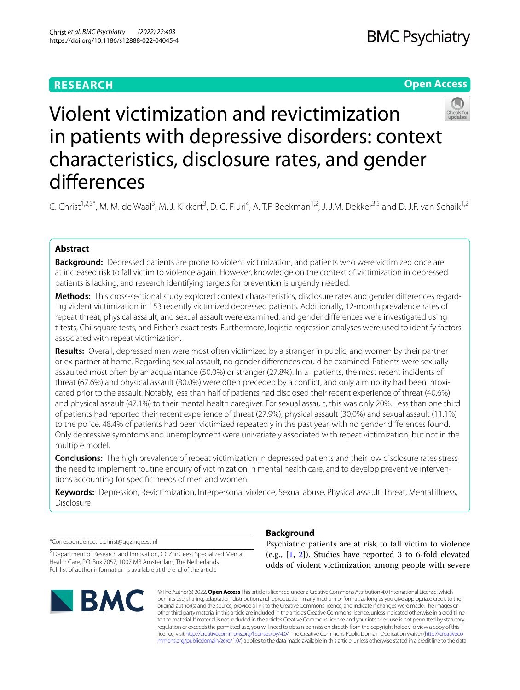# **RESEARCH**

# **Open Access**



Violent victimization and revictimization in patients with depressive disorders: context characteristics, disclosure rates, and gender diferences

C. Christ<sup>1,2,3\*</sup>, M. M. de Waal<sup>3</sup>, M. J. Kikkert<sup>3</sup>, D. G. Fluri<sup>4</sup>, A. T.F. Beekman<sup>1,2</sup>, J. J.M. Dekker<sup>3,5</sup> and D. J.F. van Schaik<sup>1,2</sup>

## **Abstract**

**Background:** Depressed patients are prone to violent victimization, and patients who were victimized once are at increased risk to fall victim to violence again. However, knowledge on the context of victimization in depressed patients is lacking, and research identifying targets for prevention is urgently needed.

**Methods:** This cross-sectional study explored context characteristics, disclosure rates and gender diferences regarding violent victimization in 153 recently victimized depressed patients. Additionally, 12-month prevalence rates of repeat threat, physical assault, and sexual assault were examined, and gender diferences were investigated using t-tests, Chi-square tests, and Fisher's exact tests. Furthermore, logistic regression analyses were used to identify factors associated with repeat victimization.

**Results:** Overall, depressed men were most often victimized by a stranger in public, and women by their partner or ex-partner at home. Regarding sexual assault, no gender diferences could be examined. Patients were sexually assaulted most often by an acquaintance (50.0%) or stranger (27.8%). In all patients, the most recent incidents of threat (67.6%) and physical assault (80.0%) were often preceded by a confict, and only a minority had been intoxicated prior to the assault. Notably, less than half of patients had disclosed their recent experience of threat (40.6%) and physical assault (47.1%) to their mental health caregiver. For sexual assault, this was only 20%. Less than one third of patients had reported their recent experience of threat (27.9%), physical assault (30.0%) and sexual assault (11.1%) to the police. 48.4% of patients had been victimized repeatedly in the past year, with no gender diferences found. Only depressive symptoms and unemployment were univariately associated with repeat victimization, but not in the multiple model.

**Conclusions:** The high prevalence of repeat victimization in depressed patients and their low disclosure rates stress the need to implement routine enquiry of victimization in mental health care, and to develop preventive interventions accounting for specifc needs of men and women.

**Keywords:** Depression, Revictimization, Interpersonal violence, Sexual abuse, Physical assault, Threat, Mental illness, Disclosure

\*Correspondence: c.christ@ggzingeest.nl

<sup>2</sup> Department of Research and Innovation, GGZ inGeest Specialized Mental Health Care, P.O. Box 7057, 1007 MB Amsterdam, The Netherlands Full list of author information is available at the end of the article



## **Background**

Psychiatric patients are at risk to fall victim to violence (e.g., [[1,](#page-11-0) [2\]](#page-11-1)). Studies have reported 3 to 6-fold elevated odds of violent victimization among people with severe

© The Author(s) 2022. **Open Access** This article is licensed under a Creative Commons Attribution 4.0 International License, which permits use, sharing, adaptation, distribution and reproduction in any medium or format, as long as you give appropriate credit to the original author(s) and the source, provide a link to the Creative Commons licence, and indicate if changes were made. The images or other third party material in this article are included in the article's Creative Commons licence, unless indicated otherwise in a credit line to the material. If material is not included in the article's Creative Commons licence and your intended use is not permitted by statutory regulation or exceeds the permitted use, you will need to obtain permission directly from the copyright holder. To view a copy of this licence, visit [http://creativecommons.org/licenses/by/4.0/.](http://creativecommons.org/licenses/by/4.0/) The Creative Commons Public Domain Dedication waiver ([http://creativeco](http://creativecommons.org/publicdomain/zero/1.0/) [mmons.org/publicdomain/zero/1.0/](http://creativecommons.org/publicdomain/zero/1.0/)) applies to the data made available in this article, unless otherwise stated in a credit line to the data.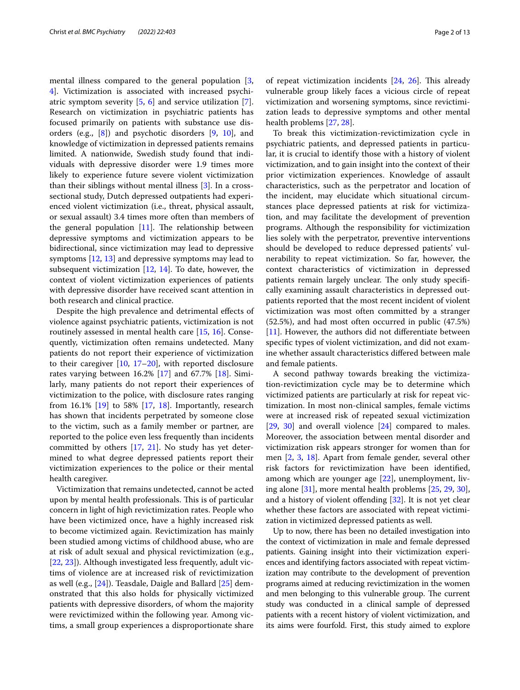mental illness compared to the general population [\[3](#page-11-2), [4\]](#page-11-3). Victimization is associated with increased psychiatric symptom severity [[5,](#page-11-4) [6](#page-11-5)] and service utilization [\[7](#page-11-6)]. Research on victimization in psychiatric patients has focused primarily on patients with substance use disorders (e.g., [\[8](#page-11-7)]) and psychotic disorders [[9,](#page-11-8) [10\]](#page-11-9), and knowledge of victimization in depressed patients remains limited. A nationwide, Swedish study found that individuals with depressive disorder were 1.9 times more likely to experience future severe violent victimization than their siblings without mental illness [[3\]](#page-11-2). In a crosssectional study, Dutch depressed outpatients had experienced violent victimization (i.e., threat, physical assault, or sexual assault) 3.4 times more often than members of the general population  $[11]$ . The relationship between depressive symptoms and victimization appears to be bidirectional, since victimization may lead to depressive symptoms [[12,](#page-11-11) [13](#page-11-12)] and depressive symptoms may lead to subsequent victimization  $[12, 14]$  $[12, 14]$  $[12, 14]$  $[12, 14]$  $[12, 14]$ . To date, however, the context of violent victimization experiences of patients with depressive disorder have received scant attention in both research and clinical practice.

Despite the high prevalence and detrimental efects of violence against psychiatric patients, victimization is not routinely assessed in mental health care [\[15,](#page-11-14) [16\]](#page-11-15). Consequently, victimization often remains undetected. Many patients do not report their experience of victimization to their caregiver  $[10, 17-20]$  $[10, 17-20]$  $[10, 17-20]$  $[10, 17-20]$  $[10, 17-20]$ , with reported disclosure rates varying between 16.2% [\[17](#page-11-16)] and 67.7% [\[18](#page-11-18)]. Similarly, many patients do not report their experiences of victimization to the police, with disclosure rates ranging from 16.1% [[19\]](#page-11-19) to 58% [\[17](#page-11-16), [18](#page-11-18)]. Importantly, research has shown that incidents perpetrated by someone close to the victim, such as a family member or partner, are reported to the police even less frequently than incidents committed by others [[17,](#page-11-16) [21\]](#page-11-20). No study has yet determined to what degree depressed patients report their victimization experiences to the police or their mental health caregiver.

Victimization that remains undetected, cannot be acted upon by mental health professionals. This is of particular concern in light of high revictimization rates. People who have been victimized once, have a highly increased risk to become victimized again. Revictimization has mainly been studied among victims of childhood abuse, who are at risk of adult sexual and physical revictimization (e.g., [[22,](#page-11-21) [23](#page-11-22)]). Although investigated less frequently, adult victims of violence are at increased risk of revictimization as well (e.g., [\[24](#page-11-23)]). Teasdale, Daigle and Ballard [\[25](#page-11-24)] demonstrated that this also holds for physically victimized patients with depressive disorders, of whom the majority were revictimized within the following year. Among victims, a small group experiences a disproportionate share of repeat victimization incidents  $[24, 26]$  $[24, 26]$  $[24, 26]$  $[24, 26]$ . This already vulnerable group likely faces a vicious circle of repeat victimization and worsening symptoms, since revictimization leads to depressive symptoms and other mental health problems [\[27](#page-11-26), [28\]](#page-11-27).

To break this victimization-revictimization cycle in psychiatric patients, and depressed patients in particular, it is crucial to identify those with a history of violent victimization, and to gain insight into the context of their prior victimization experiences. Knowledge of assault characteristics, such as the perpetrator and location of the incident, may elucidate which situational circumstances place depressed patients at risk for victimization, and may facilitate the development of prevention programs. Although the responsibility for victimization lies solely with the perpetrator, preventive interventions should be developed to reduce depressed patients' vulnerability to repeat victimization. So far, however, the context characteristics of victimization in depressed patients remain largely unclear. The only study specifically examining assault characteristics in depressed outpatients reported that the most recent incident of violent victimization was most often committed by a stranger (52.5%), and had most often occurred in public (47.5%) [[11\]](#page-11-10). However, the authors did not differentiate between specifc types of violent victimization, and did not examine whether assault characteristics difered between male and female patients.

A second pathway towards breaking the victimization-revictimization cycle may be to determine which victimized patients are particularly at risk for repeat victimization. In most non-clinical samples, female victims were at increased risk of repeated sexual victimization [[29,](#page-11-28) [30\]](#page-11-29) and overall violence [\[24\]](#page-11-23) compared to males. Moreover, the association between mental disorder and victimization risk appears stronger for women than for men [[2,](#page-11-1) [3](#page-11-2), [18\]](#page-11-18). Apart from female gender, several other risk factors for revictimization have been identifed, among which are younger age [\[22\]](#page-11-21), unemployment, living alone [\[31\]](#page-11-30), more mental health problems [[25,](#page-11-24) [29](#page-11-28), [30](#page-11-29)], and a history of violent offending [[32](#page-11-31)]. It is not yet clear whether these factors are associated with repeat victimization in victimized depressed patients as well.

Up to now, there has been no detailed investigation into the context of victimization in male and female depressed patients. Gaining insight into their victimization experiences and identifying factors associated with repeat victimization may contribute to the development of prevention programs aimed at reducing revictimization in the women and men belonging to this vulnerable group. The current study was conducted in a clinical sample of depressed patients with a recent history of violent victimization, and its aims were fourfold. First, this study aimed to explore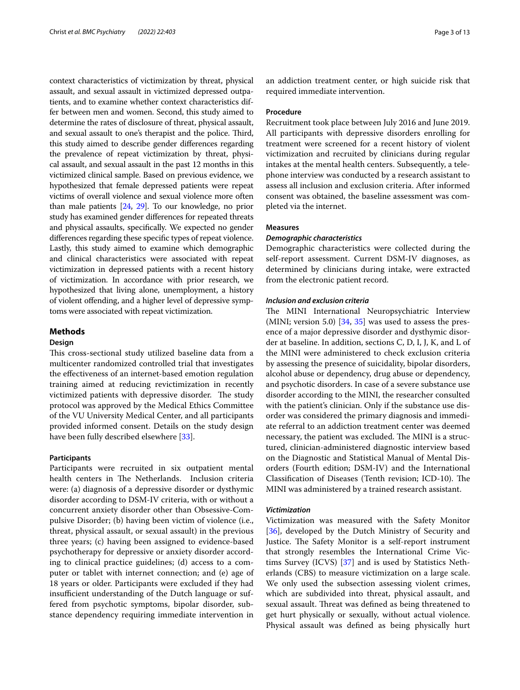context characteristics of victimization by threat, physical assault, and sexual assault in victimized depressed outpatients, and to examine whether context characteristics differ between men and women. Second, this study aimed to determine the rates of disclosure of threat, physical assault, and sexual assault to one's therapist and the police. Third, this study aimed to describe gender diferences regarding the prevalence of repeat victimization by threat, physical assault, and sexual assault in the past 12 months in this victimized clinical sample. Based on previous evidence, we hypothesized that female depressed patients were repeat victims of overall violence and sexual violence more often than male patients [\[24,](#page-11-23) [29\]](#page-11-28). To our knowledge, no prior study has examined gender diferences for repeated threats and physical assaults, specifcally. We expected no gender diferences regarding these specifc types of repeat violence. Lastly, this study aimed to examine which demographic and clinical characteristics were associated with repeat victimization in depressed patients with a recent history of victimization. In accordance with prior research, we hypothesized that living alone, unemployment, a history of violent ofending, and a higher level of depressive symptoms were associated with repeat victimization.

## **Methods**

## **Design**

This cross-sectional study utilized baseline data from a multicenter randomized controlled trial that investigates the efectiveness of an internet-based emotion regulation training aimed at reducing revictimization in recently victimized patients with depressive disorder. The study protocol was approved by the Medical Ethics Committee of the VU University Medical Center, and all participants provided informed consent. Details on the study design have been fully described elsewhere [\[33\]](#page-11-32).

## **Participants**

Participants were recruited in six outpatient mental health centers in The Netherlands. Inclusion criteria were: (a) diagnosis of a depressive disorder or dysthymic disorder according to DSM-IV criteria, with or without a concurrent anxiety disorder other than Obsessive-Compulsive Disorder; (b) having been victim of violence (i.e., threat, physical assault, or sexual assault) in the previous three years; (c) having been assigned to evidence-based psychotherapy for depressive or anxiety disorder according to clinical practice guidelines; (d) access to a computer or tablet with internet connection; and (e) age of 18 years or older. Participants were excluded if they had insufficient understanding of the Dutch language or suffered from psychotic symptoms, bipolar disorder, substance dependency requiring immediate intervention in an addiction treatment center, or high suicide risk that required immediate intervention.

## **Procedure**

Recruitment took place between July 2016 and June 2019. All participants with depressive disorders enrolling for treatment were screened for a recent history of violent victimization and recruited by clinicians during regular intakes at the mental health centers. Subsequently, a telephone interview was conducted by a research assistant to assess all inclusion and exclusion criteria. After informed consent was obtained, the baseline assessment was completed via the internet.

## **Measures**

## *Demographic characteristics*

Demographic characteristics were collected during the self-report assessment. Current DSM-IV diagnoses, as determined by clinicians during intake, were extracted from the electronic patient record.

## *Inclusion and exclusion criteria*

The MINI International Neuropsychiatric Interview (MINI; version 5.0)  $[34, 35]$  $[34, 35]$  $[34, 35]$  $[34, 35]$  was used to assess the presence of a major depressive disorder and dysthymic disorder at baseline. In addition, sections C, D, I, J, K, and L of the MINI were administered to check exclusion criteria by assessing the presence of suicidality, bipolar disorders, alcohol abuse or dependency, drug abuse or dependency, and psychotic disorders. In case of a severe substance use disorder according to the MINI, the researcher consulted with the patient's clinician. Only if the substance use disorder was considered the primary diagnosis and immediate referral to an addiction treatment center was deemed necessary, the patient was excluded. The MINI is a structured, clinician-administered diagnostic interview based on the Diagnostic and Statistical Manual of Mental Disorders (Fourth edition; DSM-IV) and the International Classification of Diseases (Tenth revision; ICD-10). The MINI was administered by a trained research assistant.

## *Victimization*

Victimization was measured with the Safety Monitor [[36\]](#page-11-35), developed by the Dutch Ministry of Security and Justice. The Safety Monitor is a self-report instrument that strongly resembles the International Crime Victims Survey (ICVS) [\[37\]](#page-11-36) and is used by Statistics Netherlands (CBS) to measure victimization on a large scale. We only used the subsection assessing violent crimes, which are subdivided into threat, physical assault, and sexual assault. Threat was defined as being threatened to get hurt physically or sexually, without actual violence. Physical assault was defned as being physically hurt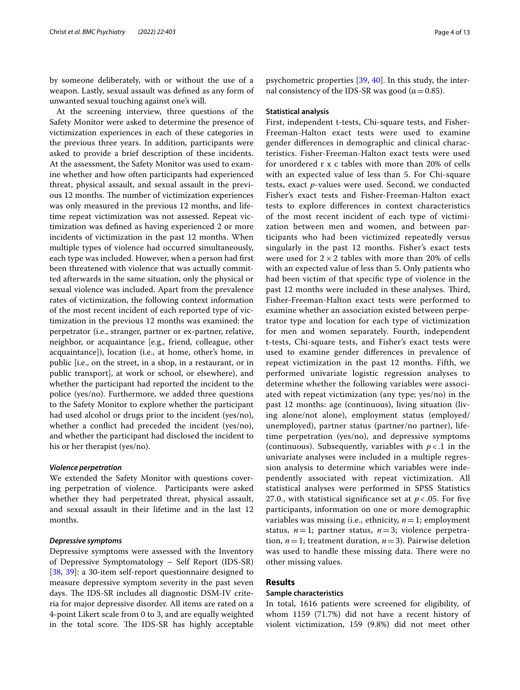by someone deliberately, with or without the use of a weapon. Lastly, sexual assault was defned as any form of unwanted sexual touching against one's will.

At the screening interview, three questions of the Safety Monitor were asked to determine the presence of victimization experiences in each of these categories in the previous three years. In addition, participants were asked to provide a brief description of these incidents. At the assessment, the Safety Monitor was used to examine whether and how often participants had experienced threat, physical assault, and sexual assault in the previous 12 months. The number of victimization experiences was only measured in the previous 12 months, and lifetime repeat victimization was not assessed. Repeat victimization was defned as having experienced 2 or more incidents of victimization in the past 12 months. When multiple types of violence had occurred simultaneously, each type was included. However, when a person had frst been threatened with violence that was actually committed afterwards in the same situation, only the physical or sexual violence was included. Apart from the prevalence rates of victimization, the following context information of the most recent incident of each reported type of victimization in the previous 12 months was examined: the perpetrator (i.e., stranger, partner or ex-partner, relative, neighbor, or acquaintance [e.g., friend, colleague, other acquaintance]), location (i.e., at home, other's home, in public [i.e., on the street, in a shop, in a restaurant, or in public transport], at work or school, or elsewhere), and whether the participant had reported the incident to the police (yes/no). Furthermore, we added three questions to the Safety Monitor to explore whether the participant had used alcohol or drugs prior to the incident (yes/no), whether a confict had preceded the incident (yes/no), and whether the participant had disclosed the incident to his or her therapist (yes/no).

## *Violence perpetration*

We extended the Safety Monitor with questions covering perpetration of violence. Participants were asked whether they had perpetrated threat, physical assault, and sexual assault in their lifetime and in the last 12 months.

## *Depressive symptoms*

Depressive symptoms were assessed with the Inventory of Depressive Symptomatology – Self Report (IDS-SR) [[38,](#page-11-37) [39](#page-12-0)]: a 30-item self-report questionnaire designed to measure depressive symptom severity in the past seven days. The IDS-SR includes all diagnostic DSM-IV criteria for major depressive disorder. All items are rated on a 4-point Likert scale from 0 to 3, and are equally weighted in the total score. The IDS-SR has highly acceptable psychometric properties [\[39,](#page-12-0) [40\]](#page-12-1). In this study, the internal consistency of the IDS-SR was good ( $α = 0.85$ ).

#### **Statistical analysis**

First, independent t-tests, Chi-square tests, and Fisher-Freeman-Halton exact tests were used to examine gender diferences in demographic and clinical characteristics. Fisher-Freeman-Halton exact tests were used for unordered r x c tables with more than 20% of cells with an expected value of less than 5. For Chi-square tests, exact *p*-values were used. Second, we conducted Fisher's exact tests and Fisher-Freeman-Halton exact tests to explore diferences in context characteristics of the most recent incident of each type of victimization between men and women, and between participants who had been victimized repeatedly versus singularly in the past 12 months. Fisher's exact tests were used for  $2 \times 2$  tables with more than 20% of cells with an expected value of less than 5. Only patients who had been victim of that specifc type of violence in the past 12 months were included in these analyses. Third, Fisher-Freeman-Halton exact tests were performed to examine whether an association existed between perpetrator type and location for each type of victimization for men and women separately. Fourth, independent t-tests, Chi-square tests, and Fisher's exact tests were used to examine gender diferences in prevalence of repeat victimization in the past 12 months. Fifth, we performed univariate logistic regression analyses to determine whether the following variables were associated with repeat victimization (any type; yes/no) in the past 12 months: age (continuous), living situation (living alone/not alone), employment status (employed/ unemployed), partner status (partner/no partner), lifetime perpetration (yes/no), and depressive symptoms (continuous). Subsequently, variables with *p* < .1 in the univariate analyses were included in a multiple regression analysis to determine which variables were independently associated with repeat victimization. All statistical analyses were performed in SPSS Statistics 27.0., with statistical significance set at  $p < 0.05$ . For five participants, information on one or more demographic variables was missing (i.e., ethnicity, *n*=1; employment status, *n*=1; partner status, *n*=3; violence perpetration,  $n=1$ ; treatment duration,  $n=3$ ). Pairwise deletion was used to handle these missing data. There were no other missing values.

## **Results**

## **Sample characteristics**

In total, 1616 patients were screened for eligibility, of whom 1159 (71.7%) did not have a recent history of violent victimization, 159 (9.8%) did not meet other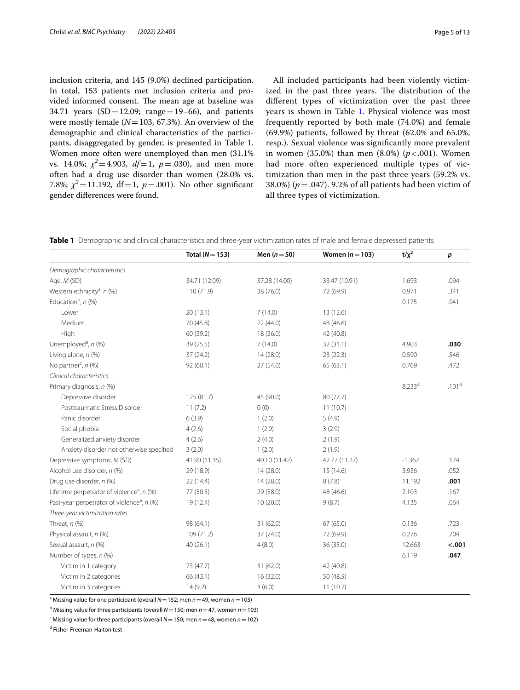inclusion criteria, and 145 (9.0%) declined participation. In total, 153 patients met inclusion criteria and provided informed consent. The mean age at baseline was 34.71 years  $(SD = 12.09; \text{ range} = 19-66)$ , and patients were mostly female (*N*=103, 67.3%). An overview of the demographic and clinical characteristics of the participants, disaggregated by gender, is presented in Table [1](#page-4-0). Women more often were unemployed than men (31.1% vs. 14.0%;  $\chi^2$  = 4.903, *df* = 1, *p* = .030), and men more often had a drug use disorder than women (28.0% vs. 7.8%;  $\chi^2$  = 11.192, df = 1, p = .001). No other significant gender diferences were found.

All included participants had been violently victimized in the past three years. The distribution of the diferent types of victimization over the past three years is shown in Table [1](#page-4-0). Physical violence was most frequently reported by both male (74.0%) and female (69.9%) patients, followed by threat (62.0% and 65.0%, resp.). Sexual violence was signifcantly more prevalent in women (35.0%) than men (8.0%) (*p* < .001). Women had more often experienced multiple types of victimization than men in the past three years (59.2% vs. 38.0%) (*p*=.047). 9.2% of all patients had been victim of all three types of victimization.

<span id="page-4-0"></span>

|  | <b>Table 1</b> Demographic and clinical characteristics and three-vear victimization rates of male and female depressed patients |  |  |
|--|----------------------------------------------------------------------------------------------------------------------------------|--|--|
|  |                                                                                                                                  |  |  |

|                                                        | Total ( $N = 153$ ) | Men $(n=50)$  | Women $(n=103)$ | $t/x^2$     | $\boldsymbol{p}$  |
|--------------------------------------------------------|---------------------|---------------|-----------------|-------------|-------------------|
| Demographic characteristics                            |                     |               |                 |             |                   |
| Age, M (SD)                                            | 34.71 (12.09)       | 37.28 (14.00) | 33.47 (10.91)   | 1.693       | .094              |
| Western ethnicity <sup>a</sup> , n (%)                 | 110 (71.9)          | 38 (76.0)     | 72 (69.9)       | 0.971       | .341              |
| Education <sup>b</sup> , n (%)                         |                     |               |                 | 0.175       | .941              |
| Lower                                                  | 20(13.1)            | 7(14.0)       | 13 (12.6)       |             |                   |
| Medium                                                 | 70 (45.8)           | 22(44.0)      | 48 (46.6)       |             |                   |
| High                                                   | 60 (39.2)           | 18 (36.0)     | 42 (40.8)       |             |                   |
| Unemployed <sup>a</sup> , n (%)                        | 39 (25.5)           | 7(14.0)       | 32(31.1)        | 4.903       | .030              |
| Living alone, n (%)                                    | 37(24.2)            | 14(28.0)      | 23(22.3)        | 0.590       | .546              |
| No partner <sup>c</sup> , n (%)                        | 92 (60.1)           | 27 (54.0)     | 65(63.1)        | 0.769       | .472              |
| Clinical characteristics                               |                     |               |                 |             |                   |
| Primary diagnosis, n (%)                               |                     |               |                 | $8.233^{d}$ | .101 <sup>d</sup> |
| Depressive disorder                                    | 125 (81.7)          | 45 (90.0)     | 80 (77.7)       |             |                   |
| Posttraumatic Stress Disorder                          | 11(7.2)             | 0(0)          | 11(10.7)        |             |                   |
| Panic disorder                                         | 6(3.9)              | 1(2.0)        | 5(4.9)          |             |                   |
| Social phobia                                          | 4(2.6)              | 1(2.0)        | 3(2.9)          |             |                   |
| Generalized anxiety disorder                           | 4(2.6)              | 2(4.0)        | 2(1.9)          |             |                   |
| Anxiety disorder not otherwise specified               | 3(2.0)              | 1(2.0)        | 2(1.9)          |             |                   |
| Depressive symptoms, M (SD)                            | 41.90 (11.35)       | 40.10 (11.42) | 42.77 (11.27)   | $-1.367$    | .174              |
| Alcohol use disorder, n (%)                            | 29 (18.9)           | 14(28.0)      | 15(14.6)        | 3.956       | .052              |
| Drug use disorder, n (%)                               | 22 (14.4)           | 14(28.0)      | 8(7.8)          | 11.192      | .001              |
| Lifetime perpetrator of violence <sup>a</sup> , n (%)  | 77 (50.3)           | 29 (58.0)     | 48 (46.6)       | 2.103       | .167              |
| Past-year perpetrator of violence <sup>a</sup> , n (%) | 19 (12.4)           | 10(20.0)      | 9(8.7)          | 4.135       | .064              |
| Three-year victimization rates                         |                     |               |                 |             |                   |
| Threat, $n$ (%)                                        | 98 (64.1)           | 31 (62.0)     | 67 (65.0)       | 0.136       | .723              |
| Physical assault, n (%)                                | 109 (71.2)          | 37 (74.0)     | 72 (69.9)       | 0.276       | .704              |
| Sexual assault, n (%)                                  | 40(26.1)            | 4(8.0)        | 36 (35.0)       | 12.663      | < .001            |
| Number of types, n (%)                                 |                     |               |                 | 6.119       | .047              |
| Victim in 1 category                                   | 73 (47.7)           | 31 (62.0)     | 42 (40.8)       |             |                   |
| Victim in 2 categories                                 | 66 (43.1)           | 16(32.0)      | 50 (48.5)       |             |                   |
| Victim in 3 categories                                 | 14(9.2)             | 3(6.0)        | 11(10.7)        |             |                   |

a Missing value for one participant (overall *N*=152; men *n*=49, women *n*=103)

b Missing value for three participants (overall *N*=150; men *n*=47, women *n*=103)

c Missing value for three participants (overall *N*=150; men *n*=48, women *n*=102)

<sup>d</sup> Fisher-Freeman-Halton test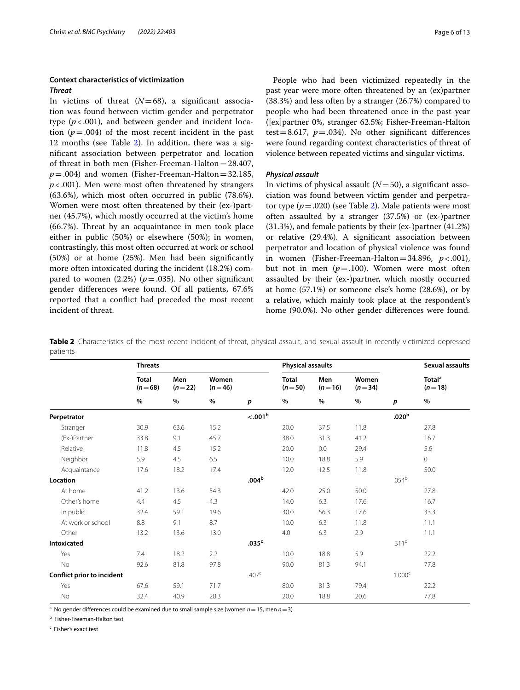## **Context characteristics of victimization** *Threat*

In victims of threat  $(N=68)$ , a significant association was found between victim gender and perpetrator type  $(p < .001)$ , and between gender and incident location  $(p=.004)$  of the most recent incident in the past 1[2](#page-5-0) months (see Table 2). In addition, there was a signifcant association between perpetrator and location of threat in both men (Fisher-Freeman-Halton=28.407,  $p = .004$ ) and women (Fisher-Freeman-Halton=32.185, *p*<.001). Men were most often threatened by strangers (63.6%), which most often occurred in public (78.6%). Women were most often threatened by their (ex-)partner (45.7%), which mostly occurred at the victim's home  $(66.7%)$ . Threat by an acquaintance in men took place either in public (50%) or elsewhere (50%); in women, contrastingly, this most often occurred at work or school (50%) or at home (25%). Men had been signifcantly more often intoxicated during the incident (18.2%) compared to women  $(2.2%) (p=.035)$ . No other significant gender diferences were found. Of all patients, 67.6% reported that a confict had preceded the most recent incident of threat.

People who had been victimized repeatedly in the past year were more often threatened by an (ex)partner (38.3%) and less often by a stranger (26.7%) compared to people who had been threatened once in the past year ([ex]partner 0%, stranger 62.5%; Fisher-Freeman-Halton test = 8.617,  $p = .034$ ). No other significant differences were found regarding context characteristics of threat of violence between repeated victims and singular victims.

## *Physical assault*

In victims of physical assault  $(N=50)$ , a significant association was found between victim gender and perpetrator type  $(p=.020)$  $(p=.020)$  $(p=.020)$  (see Table 2). Male patients were most often assaulted by a stranger (37.5%) or (ex-)partner (31.3%), and female patients by their (ex-)partner (41.2%) or relative (29.4%). A signifcant association between perpetrator and location of physical violence was found in women (Fisher-Freeman-Halton=34.896,  $p < .001$ ), but not in men  $(p=.100)$ . Women were most often assaulted by their (ex-)partner, which mostly occurred at home (57.1%) or someone else's home (28.6%), or by a relative, which mainly took place at the respondent's home (90.0%). No other gender diferences were found.

<span id="page-5-0"></span>**Table 2** Characteristics of the most recent incident of threat, physical assault, and sexual assault in recently victimized depressed patients

|                            | <b>Threats</b>           |                   |                   | <b>Physical assaults</b> |                          |                   |                   | <b>Sexual assaults</b> |                                |
|----------------------------|--------------------------|-------------------|-------------------|--------------------------|--------------------------|-------------------|-------------------|------------------------|--------------------------------|
|                            | <b>Total</b><br>$(n=68)$ | Men<br>$(n=22)$   | Women<br>$(n=46)$ |                          | <b>Total</b><br>$(n=50)$ | Men<br>$(n=16)$   | Women<br>$(n=34)$ |                        | Total <sup>a</sup><br>$(n=18)$ |
|                            | $\%$                     | $\%$              | $\%$              | $\boldsymbol{p}$         | $\%$                     | $\%$              | %                 | p                      | $\%$                           |
| Perpetrator                |                          |                   |                   | < .001 <sup>b</sup>      |                          |                   |                   | .020 <sup>b</sup>      |                                |
| Stranger                   | 30.9                     | 63.6              | 15.2              |                          | 20.0                     | 37.5              | 11.8              |                        | 27.8                           |
| (Ex-)Partner               | 33.8                     | 9.1               | 45.7              |                          | 38.0                     | 31.3              | 41.2              |                        | 16.7                           |
| Relative                   | 11.8                     | 4.5               | 15.2              |                          | 20.0                     | 0.0               | 29.4              |                        | 5.6                            |
| Neighbor                   | 5.9                      | 4.5               | 6.5               |                          | 10.0                     | 18.8              | 5.9               |                        | $\mathsf{O}\xspace$            |
| Acquaintance               | 17.6                     | 18.2              | 17.4              |                          | 12.0                     | 12.5              | 11.8              |                        | 50.0                           |
| Location                   |                          | .004 <sup>b</sup> |                   |                          |                          | .054 <sup>b</sup> |                   |                        |                                |
| At home                    | 41.2                     | 13.6              | 54.3              |                          | 42.0                     | 25.0              | 50.0              |                        | 27.8                           |
| Other's home               | 4.4                      | 4.5               | 4.3               |                          | 14.0                     | 6.3               | 17.6              |                        | 16.7                           |
| In public                  | 32.4                     | 59.1              | 19.6              |                          | 30.0                     | 56.3              | 17.6              |                        | 33.3                           |
| At work or school          | 8.8                      | 9.1               | 8.7               |                          | 10.0                     | 6.3               | 11.8              |                        | 11.1                           |
| Other                      | 13.2                     | 13.6              | 13.0              |                          | 4.0                      | 6.3               | 2.9               |                        | 11.1                           |
| Intoxicated                |                          |                   |                   | .035 <sup>c</sup>        |                          |                   |                   | .311 <sup>c</sup>      |                                |
| Yes                        | 7.4                      | 18.2              | 2.2               |                          | 10.0                     | 18.8              | 5.9               |                        | 22.2                           |
| No                         | 92.6                     | 81.8              | 97.8              |                          | 90.0                     | 81.3              | 94.1              |                        | 77.8                           |
| Conflict prior to incident |                          |                   |                   | .407 <sup>c</sup>        |                          |                   |                   | 1.000 <sup>c</sup>     |                                |
| Yes                        | 67.6                     | 59.1              | 71.7              |                          | 80.0                     | 81.3              | 79.4              |                        | 22.2                           |
| No                         | 32.4                     | 40.9              | 28.3              |                          | 20.0                     | 18.8              | 20.6              |                        | 77.8                           |

<sup>a</sup> No gender differences could be examined due to small sample size (women  $n=15$ , men  $n=3$ )

<sup>b</sup> Fisher-Freeman-Halton test

<sup>c</sup> Fisher's exact test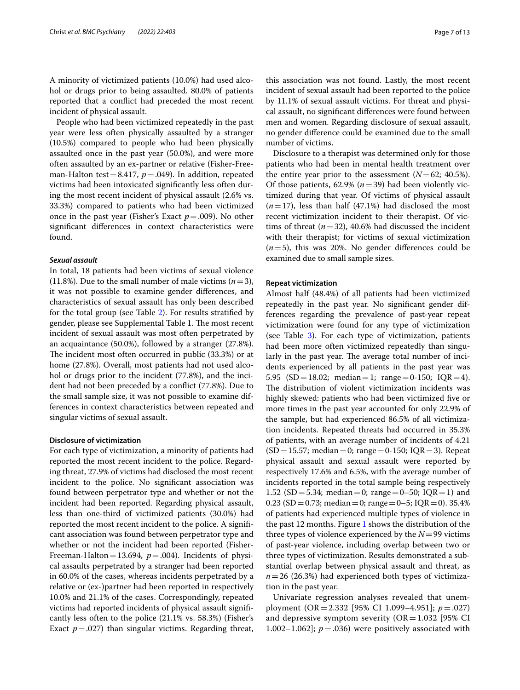A minority of victimized patients (10.0%) had used alcohol or drugs prior to being assaulted. 80.0% of patients reported that a confict had preceded the most recent incident of physical assault.

People who had been victimized repeatedly in the past year were less often physically assaulted by a stranger (10.5%) compared to people who had been physically assaulted once in the past year (50.0%), and were more often assaulted by an ex-partner or relative (Fisher-Freeman-Halton test=8.417, *p*=.049). In addition, repeated victims had been intoxicated signifcantly less often during the most recent incident of physical assault (2.6% vs. 33.3%) compared to patients who had been victimized once in the past year (Fisher's Exact  $p = .009$ ). No other signifcant diferences in context characteristics were found.

## *Sexual assault*

In total, 18 patients had been victims of sexual violence (11.8%). Due to the small number of male victims  $(n=3)$ , it was not possible to examine gender diferences, and characteristics of sexual assault has only been described for the total group (see Table [2](#page-5-0)). For results stratifed by gender, please see Supplemental Table 1. The most recent incident of sexual assault was most often perpetrated by an acquaintance (50.0%), followed by a stranger (27.8%). The incident most often occurred in public (33.3%) or at home (27.8%). Overall, most patients had not used alcohol or drugs prior to the incident (77.8%), and the incident had not been preceded by a confict (77.8%). Due to the small sample size, it was not possible to examine differences in context characteristics between repeated and singular victims of sexual assault.

## **Disclosure of victimization**

For each type of victimization, a minority of patients had reported the most recent incident to the police. Regarding threat, 27.9% of victims had disclosed the most recent incident to the police. No signifcant association was found between perpetrator type and whether or not the incident had been reported. Regarding physical assault, less than one-third of victimized patients (30.0%) had reported the most recent incident to the police. A signifcant association was found between perpetrator type and whether or not the incident had been reported (Fisher-Freeman-Halton=13.694,  $p = .004$ ). Incidents of physical assaults perpetrated by a stranger had been reported in 60.0% of the cases, whereas incidents perpetrated by a relative or (ex-)partner had been reported in respectively 10.0% and 21.1% of the cases. Correspondingly, repeated victims had reported incidents of physical assault signifcantly less often to the police (21.1% vs. 58.3%) (Fisher's Exact  $p = .027$ ) than singular victims. Regarding threat, this association was not found. Lastly, the most recent incident of sexual assault had been reported to the police by 11.1% of sexual assault victims. For threat and physical assault, no signifcant diferences were found between men and women. Regarding disclosure of sexual assault, no gender diference could be examined due to the small number of victims.

Disclosure to a therapist was determined only for those patients who had been in mental health treatment over the entire year prior to the assessment  $(N=62; 40.5\%)$ . Of those patients,  $62.9\%$  ( $n=39$ ) had been violently victimized during that year. Of victims of physical assault  $(n=17)$ , less than half  $(47.1\%)$  had disclosed the most recent victimization incident to their therapist. Of victims of threat  $(n=32)$ , 40.6% had discussed the incident with their therapist; for victims of sexual victimization  $(n=5)$ , this was 20%. No gender differences could be examined due to small sample sizes.

## **Repeat victimization**

Almost half (48.4%) of all patients had been victimized repeatedly in the past year. No signifcant gender differences regarding the prevalence of past-year repeat victimization were found for any type of victimization (see Table [3](#page-7-0)). For each type of victimization, patients had been more often victimized repeatedly than singularly in the past year. The average total number of incidents experienced by all patients in the past year was 5.95 (SD = 18.02; median = 1; range = 0-150; IOR = 4). The distribution of violent victimization incidents was highly skewed: patients who had been victimized five or more times in the past year accounted for only 22.9% of the sample, but had experienced 86.5% of all victimization incidents. Repeated threats had occurred in 35.3% of patients, with an average number of incidents of 4.21  $(SD=15.57; median=0; range=0-150; IQR=3)$ . Repeat physical assault and sexual assault were reported by respectively 17.6% and 6.5%, with the average number of incidents reported in the total sample being respectively 1.52 (SD = 5.34; median = 0; range = 0–50; IQR = 1) and 0.23 (SD = 0.73; median = 0; range = 0–5; IQR = 0). 35.4% of patients had experienced multiple types of violence in the past 12 months. Figure [1](#page-7-1) shows the distribution of the three types of violence experienced by the  $N=99$  victims of past-year violence, including overlap between two or three types of victimization. Results demonstrated a substantial overlap between physical assault and threat, as  $n=26$  (26.3%) had experienced both types of victimization in the past year.

Univariate regression analyses revealed that unemployment (OR=2.332 [95% CI 1.099–4.951]; *p*=.027) and depressive symptom severity  $(OR=1.032)$  [95% CI 1.002–1.062];  $p = .036$ ) were positively associated with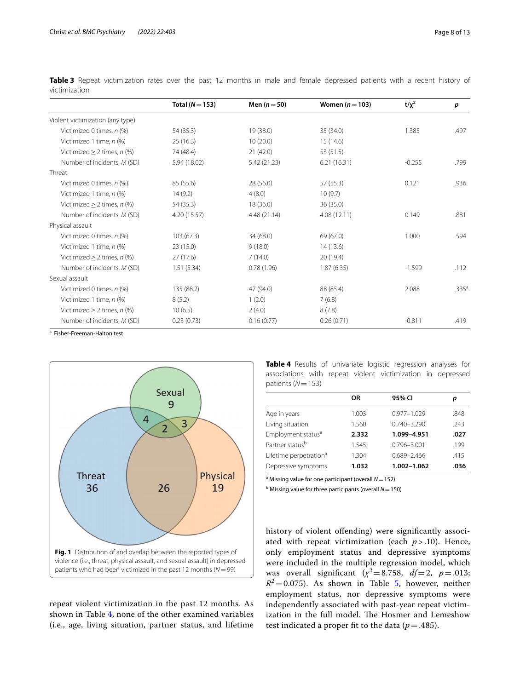|                                  | Total ( $N = 153$ ) | Men $(n=50)$ | Women $(n=103)$ | $t/x^2$  | p                 |
|----------------------------------|---------------------|--------------|-----------------|----------|-------------------|
| Violent victimization (any type) |                     |              |                 |          |                   |
| Victimized 0 times, n (%)        | 54 (35.3)           | 19 (38.0)    | 35 (34.0)       | 1.385    | .497              |
| Victimized 1 time, n (%)         | 25(16.3)            | 10(20.0)     | 15(14.6)        |          |                   |
| Victimized $\geq$ 2 times, n (%) | 74 (48.4)           | 21(42.0)     | 53 (51.5)       |          |                   |
| Number of incidents, M (SD)      | 5.94 (18.02)        | 5.42 (21.23) | 6.21(16.31)     | $-0.255$ | .799              |
| Threat                           |                     |              |                 |          |                   |
| Victimized 0 times, n (%)        | 85 (55.6)           | 28 (56.0)    | 57(55.3)        | 0.121    | .936              |
| Victimized 1 time, n (%)         | 14(9.2)             | 4(8.0)       | 10(9.7)         |          |                   |
| Victimized $\geq$ 2 times, n (%) | 54 (35.3)           | 18(36.0)     | 36 (35.0)       |          |                   |
| Number of incidents, M (SD)      | 4.20 (15.57)        | 4.48 (21.14) | 4.08(12.11)     | 0.149    | .881              |
| Physical assault                 |                     |              |                 |          |                   |
| Victimized 0 times, n (%)        | 103(67.3)           | 34 (68.0)    | 69 (67.0)       | 1.000    | .594              |
| Victimized 1 time, n (%)         | 23(15.0)            | 9(18.0)      | 14(13.6)        |          |                   |
| Victimized $\geq$ 2 times, n (%) | 27(17.6)            | 7(14.0)      | 20 (19.4)       |          |                   |
| Number of incidents, M (SD)      | 1.51(5.34)          | 0.78(1.96)   | 1.87(6.35)      | $-1.599$ | .112              |
| Sexual assault                   |                     |              |                 |          |                   |
| Victimized 0 times, n (%)        | 135 (88.2)          | 47 (94.0)    | 88 (85.4)       | 2.088    | .335 <sup>a</sup> |
| Victimized 1 time, n (%)         | 8(5.2)              | 1(2.0)       | 7(6.8)          |          |                   |
| Victimized $\geq$ 2 times, n (%) | 10(6.5)             | 2(4.0)       | 8(7.8)          |          |                   |
| Number of incidents, M (SD)      | 0.23(0.73)          | 0.16(0.77)   | 0.26(0.71)      | $-0.811$ | .419              |

<span id="page-7-0"></span>**Table 3** Repeat victimization rates over the past 12 months in male and female depressed patients with a recent history of victimization

<sup>a</sup> Fisher-Freeman-Halton test



<span id="page-7-1"></span>repeat violent victimization in the past 12 months. As shown in Table [4,](#page-7-2) none of the other examined variables (i.e., age, living situation, partner status, and lifetime <span id="page-7-2"></span>**Table 4** Results of univariate logistic regression analyses for associations with repeat violent victimization in depressed patients (*N*=153)

|                                    | <b>OR</b> | 95% CI          | р    |
|------------------------------------|-----------|-----------------|------|
| Age in years                       | 1.003     | $0.977 - 1.029$ | .848 |
| Living situation                   | 1.560     | $0.740 - 3.290$ | .243 |
| Employment status <sup>a</sup>     | 2.332     | 1.099-4.951     | .027 |
| Partner status <sup>b</sup>        | 1.545     | $0.796 - 3.001$ | .199 |
| Lifetime perpetration <sup>a</sup> | 1.304     | $0.689 - 2.466$ | .415 |
| Depressive symptoms                | 1.032     | 1.002-1.062     | .036 |

a Missing value for one participant (overall *N*=152)

b Missing value for three participants (overall *N*=150)

history of violent offending) were significantly associated with repeat victimization (each  $p > .10$ ). Hence, only employment status and depressive symptoms were included in the multiple regression model, which was overall signifcant (*χ<sup>2</sup>*=8.758, *df*=2, *p*=.013;  $R^2$ =0.075). As shown in Table [5,](#page-8-0) however, neither employment status, nor depressive symptoms were independently associated with past-year repeat victimization in the full model. The Hosmer and Lemeshow test indicated a proper fit to the data ( $p = .485$ ).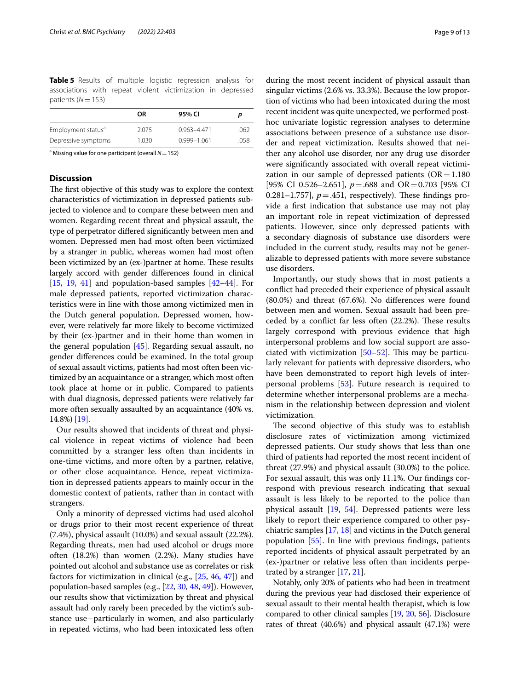<span id="page-8-0"></span>**Table 5** Results of multiple logistic regression analysis for associations with repeat violent victimization in depressed patients (*N*=153)

|                                | OR    | 95% CI          |      |
|--------------------------------|-------|-----------------|------|
| Employment status <sup>ª</sup> | 2.075 | $0.963 - 4.471$ | .062 |
| Depressive symptoms            | 1.030 | $0.999 - 1.061$ | .058 |

a Missing value for one participant (overall *N*=152)

## **Discussion**

The first objective of this study was to explore the context characteristics of victimization in depressed patients subjected to violence and to compare these between men and women. Regarding recent threat and physical assault, the type of perpetrator difered signifcantly between men and women. Depressed men had most often been victimized by a stranger in public, whereas women had most often been victimized by an (ex-)partner at home. These results largely accord with gender diferences found in clinical [[15](#page-11-14), [19,](#page-11-19) [41\]](#page-12-2) and population-based samples [\[42–](#page-12-3)[44](#page-12-4)]. For male depressed patients, reported victimization characteristics were in line with those among victimized men in the Dutch general population. Depressed women, however, were relatively far more likely to become victimized by their (ex-)partner and in their home than women in the general population [\[45\]](#page-12-5). Regarding sexual assault, no gender diferences could be examined. In the total group of sexual assault victims, patients had most often been victimized by an acquaintance or a stranger, which most often took place at home or in public. Compared to patients with dual diagnosis, depressed patients were relatively far more often sexually assaulted by an acquaintance (40% vs. 14.8%) [\[19](#page-11-19)].

Our results showed that incidents of threat and physical violence in repeat victims of violence had been committed by a stranger less often than incidents in one-time victims, and more often by a partner, relative, or other close acquaintance. Hence, repeat victimization in depressed patients appears to mainly occur in the domestic context of patients, rather than in contact with strangers.

Only a minority of depressed victims had used alcohol or drugs prior to their most recent experience of threat (7.4%), physical assault (10.0%) and sexual assault (22.2%). Regarding threats, men had used alcohol or drugs more often (18.2%) than women (2.2%). Many studies have pointed out alcohol and substance use as correlates or risk factors for victimization in clinical (e.g., [\[25](#page-11-24), [46](#page-12-6), [47](#page-12-7)]) and population-based samples (e.g., [[22,](#page-11-21) [30,](#page-11-29) [48](#page-12-8), [49\]](#page-12-9)). However, our results show that victimization by threat and physical assault had only rarely been preceded by the victim's substance use−particularly in women, and also particularly in repeated victims, who had been intoxicated less often during the most recent incident of physical assault than singular victims (2.6% vs. 33.3%). Because the low proportion of victims who had been intoxicated during the most recent incident was quite unexpected, we performed posthoc univariate logistic regression analyses to determine associations between presence of a substance use disorder and repeat victimization. Results showed that neither any alcohol use disorder, nor any drug use disorder were signifcantly associated with overall repeat victimization in our sample of depressed patients  $(OR=1.180$ [95% CI 0.526–2.651], *p*=.688 and OR=0.703 [95% CI 0.281–1.757],  $p = .451$ , respectively). These findings provide a frst indication that substance use may not play an important role in repeat victimization of depressed patients. However, since only depressed patients with a secondary diagnosis of substance use disorders were included in the current study, results may not be generalizable to depressed patients with more severe substance use disorders.

Importantly, our study shows that in most patients a confict had preceded their experience of physical assault (80.0%) and threat (67.6%). No diferences were found between men and women. Sexual assault had been preceded by a conflict far less often (22.2%). These results largely correspond with previous evidence that high interpersonal problems and low social support are associated with victimization  $[50-52]$  $[50-52]$  $[50-52]$ . This may be particularly relevant for patients with depressive disorders, who have been demonstrated to report high levels of interpersonal problems [\[53\]](#page-12-12). Future research is required to determine whether interpersonal problems are a mechanism in the relationship between depression and violent victimization.

The second objective of this study was to establish disclosure rates of victimization among victimized depressed patients. Our study shows that less than one third of patients had reported the most recent incident of threat (27.9%) and physical assault (30.0%) to the police. For sexual assault, this was only 11.1%. Our fndings correspond with previous research indicating that sexual assault is less likely to be reported to the police than physical assault [\[19,](#page-11-19) [54\]](#page-12-13). Depressed patients were less likely to report their experience compared to other psychiatric samples [\[17,](#page-11-16) [18](#page-11-18)] and victims in the Dutch general population [\[55](#page-12-14)]. In line with previous fndings, patients reported incidents of physical assault perpetrated by an (ex-)partner or relative less often than incidents perpetrated by a stranger [\[17](#page-11-16), [21\]](#page-11-20).

Notably, only 20% of patients who had been in treatment during the previous year had disclosed their experience of sexual assault to their mental health therapist, which is low compared to other clinical samples [\[19,](#page-11-19) [20](#page-11-17), [56](#page-12-15)]. Disclosure rates of threat (40.6%) and physical assault (47.1%) were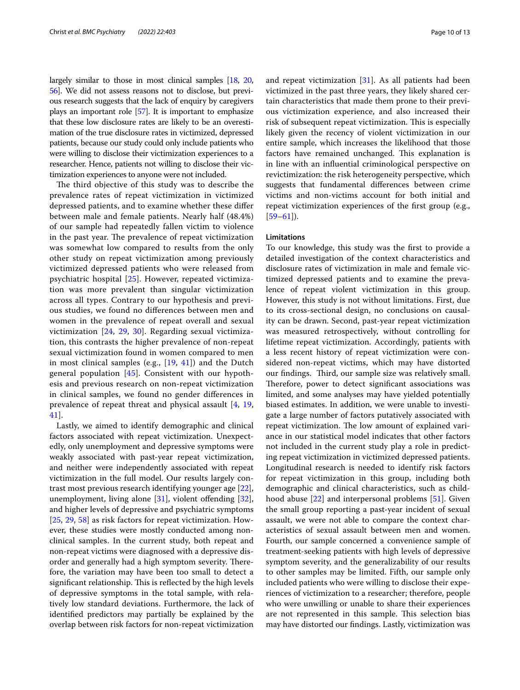largely similar to those in most clinical samples [\[18](#page-11-18), [20](#page-11-17), [56](#page-12-15)]. We did not assess reasons not to disclose, but previous research suggests that the lack of enquiry by caregivers plays an important role [\[57\]](#page-12-16). It is important to emphasize that these low disclosure rates are likely to be an overestimation of the true disclosure rates in victimized, depressed patients, because our study could only include patients who were willing to disclose their victimization experiences to a researcher. Hence, patients not willing to disclose their victimization experiences to anyone were not included.

The third objective of this study was to describe the prevalence rates of repeat victimization in victimized depressed patients, and to examine whether these difer between male and female patients. Nearly half (48.4%) of our sample had repeatedly fallen victim to violence in the past year. The prevalence of repeat victimization was somewhat low compared to results from the only other study on repeat victimization among previously victimized depressed patients who were released from psychiatric hospital [\[25](#page-11-24)]. However, repeated victimization was more prevalent than singular victimization across all types. Contrary to our hypothesis and previous studies, we found no diferences between men and women in the prevalence of repeat overall and sexual victimization [\[24](#page-11-23), [29,](#page-11-28) [30](#page-11-29)]. Regarding sexual victimization, this contrasts the higher prevalence of non-repeat sexual victimization found in women compared to men in most clinical samples (e.g., [\[19](#page-11-19), [41\]](#page-12-2)) and the Dutch general population [\[45](#page-12-5)]. Consistent with our hypothesis and previous research on non-repeat victimization in clinical samples, we found no gender diferences in prevalence of repeat threat and physical assault [\[4](#page-11-3), [19](#page-11-19), [41\]](#page-12-2).

Lastly, we aimed to identify demographic and clinical factors associated with repeat victimization. Unexpectedly, only unemployment and depressive symptoms were weakly associated with past-year repeat victimization, and neither were independently associated with repeat victimization in the full model. Our results largely contrast most previous research identifying younger age [\[22](#page-11-21)], unemployment, living alone [[31](#page-11-30)], violent offending [\[32](#page-11-31)], and higher levels of depressive and psychiatric symptoms [[25,](#page-11-24) [29,](#page-11-28) [58](#page-12-17)] as risk factors for repeat victimization. However, these studies were mostly conducted among nonclinical samples. In the current study, both repeat and non-repeat victims were diagnosed with a depressive disorder and generally had a high symptom severity. Therefore, the variation may have been too small to detect a significant relationship. This is reflected by the high levels of depressive symptoms in the total sample, with relatively low standard deviations. Furthermore, the lack of identifed predictors may partially be explained by the overlap between risk factors for non-repeat victimization and repeat victimization [\[31\]](#page-11-30). As all patients had been victimized in the past three years, they likely shared certain characteristics that made them prone to their previous victimization experience, and also increased their risk of subsequent repeat victimization. This is especially likely given the recency of violent victimization in our entire sample, which increases the likelihood that those factors have remained unchanged. This explanation is in line with an infuential criminological perspective on revictimization: the risk heterogeneity perspective, which suggests that fundamental diferences between crime victims and non-victims account for both initial and repeat victimization experiences of the frst group (e.g.,  $[59-61]$  $[59-61]$ ).

## **Limitations**

To our knowledge, this study was the frst to provide a detailed investigation of the context characteristics and disclosure rates of victimization in male and female victimized depressed patients and to examine the prevalence of repeat violent victimization in this group. However, this study is not without limitations. First, due to its cross-sectional design, no conclusions on causality can be drawn. Second, past-year repeat victimization was measured retrospectively, without controlling for lifetime repeat victimization. Accordingly, patients with a less recent history of repeat victimization were considered non-repeat victims, which may have distorted our findings. Third, our sample size was relatively small. Therefore, power to detect significant associations was limited, and some analyses may have yielded potentially biased estimates. In addition, we were unable to investigate a large number of factors putatively associated with repeat victimization. The low amount of explained variance in our statistical model indicates that other factors not included in the current study play a role in predicting repeat victimization in victimized depressed patients. Longitudinal research is needed to identify risk factors for repeat victimization in this group, including both demographic and clinical characteristics, such as childhood abuse [[22\]](#page-11-21) and interpersonal problems [[51\]](#page-12-20). Given the small group reporting a past-year incident of sexual assault, we were not able to compare the context characteristics of sexual assault between men and women. Fourth, our sample concerned a convenience sample of treatment-seeking patients with high levels of depressive symptom severity, and the generalizability of our results to other samples may be limited. Fifth, our sample only included patients who were willing to disclose their experiences of victimization to a researcher; therefore, people who were unwilling or unable to share their experiences are not represented in this sample. This selection bias may have distorted our fndings. Lastly, victimization was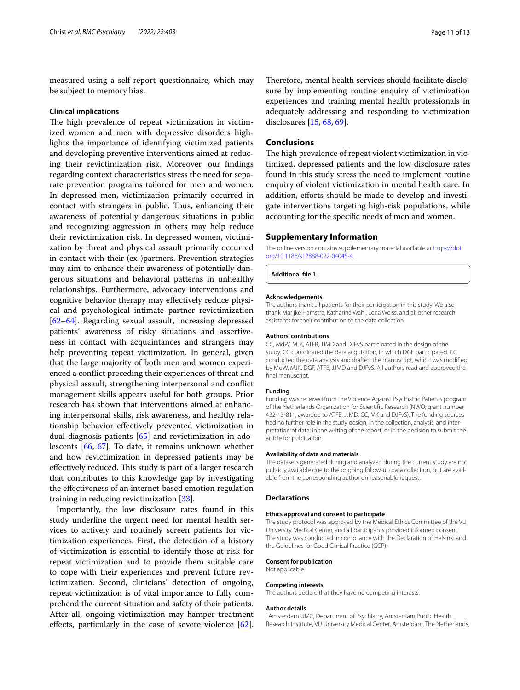measured using a self-report questionnaire, which may be subject to memory bias.

## **Clinical implications**

The high prevalence of repeat victimization in victimized women and men with depressive disorders highlights the importance of identifying victimized patients and developing preventive interventions aimed at reducing their revictimization risk. Moreover, our fndings regarding context characteristics stress the need for separate prevention programs tailored for men and women. In depressed men, victimization primarily occurred in contact with strangers in public. Thus, enhancing their awareness of potentially dangerous situations in public and recognizing aggression in others may help reduce their revictimization risk. In depressed women, victimization by threat and physical assault primarily occurred in contact with their (ex-)partners. Prevention strategies may aim to enhance their awareness of potentially dangerous situations and behavioral patterns in unhealthy relationships. Furthermore, advocacy interventions and cognitive behavior therapy may efectively reduce physical and psychological intimate partner revictimization [[62–](#page-12-21)[64](#page-12-22)]. Regarding sexual assault, increasing depressed patients' awareness of risky situations and assertiveness in contact with acquaintances and strangers may help preventing repeat victimization. In general, given that the large majority of both men and women experienced a confict preceding their experiences of threat and physical assault, strengthening interpersonal and confict management skills appears useful for both groups. Prior research has shown that interventions aimed at enhancing interpersonal skills, risk awareness, and healthy relationship behavior efectively prevented victimization in dual diagnosis patients [\[65\]](#page-12-23) and revictimization in adolescents [[66,](#page-12-24) [67\]](#page-12-25). To date, it remains unknown whether and how revictimization in depressed patients may be effectively reduced. This study is part of a larger research that contributes to this knowledge gap by investigating the efectiveness of an internet-based emotion regulation training in reducing revictimization [\[33\]](#page-11-32).

Importantly, the low disclosure rates found in this study underline the urgent need for mental health services to actively and routinely screen patients for victimization experiences. First, the detection of a history of victimization is essential to identify those at risk for repeat victimization and to provide them suitable care to cope with their experiences and prevent future revictimization. Second, clinicians' detection of ongoing, repeat victimization is of vital importance to fully comprehend the current situation and safety of their patients. After all, ongoing victimization may hamper treatment efects, particularly in the case of severe violence [\[62](#page-12-21)].

Therefore, mental health services should facilitate disclosure by implementing routine enquiry of victimization experiences and training mental health professionals in adequately addressing and responding to victimization disclosures [\[15](#page-11-14), [68,](#page-12-26) [69\]](#page-12-27).

## **Conclusions**

The high prevalence of repeat violent victimization in victimized, depressed patients and the low disclosure rates found in this study stress the need to implement routine enquiry of violent victimization in mental health care. In addition, efforts should be made to develop and investigate interventions targeting high-risk populations, while accounting for the specifc needs of men and women.

## **Supplementary Information**

The online version contains supplementary material available at [https://doi.](https://doi.org/10.1186/s12888-022-04045-4) [org/10.1186/s12888-022-04045-4](https://doi.org/10.1186/s12888-022-04045-4).

**Additional fle 1.**

#### **Acknowledgements**

The authors thank all patients for their participation in this study. We also thank Marijke Hamstra, Katharina Wahl, Lena Weiss, and all other research assistants for their contribution to the data collection.

#### **Authors' contributions**

CC, MdW, MJK, ATFB, JJMD and DJFvS participated in the design of the study. CC coordinated the data acquisition, in which DGF participated. CC conducted the data analysis and drafted the manuscript, which was modifed by MdW, MJK, DGF, ATFB, JJMD and DJFvS. All authors read and approved the final manuscript.

#### **Funding**

Funding was received from the Violence Against Psychiatric Patients program of the Netherlands Organization for Scientifc Research (NWO; grant number 432-13-811, awarded to ATFB, JJMD, CC, MK and DJFvS). The funding sources had no further role in the study design; in the collection, analysis, and interpretation of data; in the writing of the report; or in the decision to submit the article for publication.

#### **Availability of data and materials**

The datasets generated during and analyzed during the current study are not publicly available due to the ongoing follow-up data collection, but are available from the corresponding author on reasonable request.

## **Declarations**

## **Ethics approval and consent to participate**

The study protocol was approved by the Medical Ethics Committee of the VU University Medical Center, and all participants provided informed consent. The study was conducted in compliance with the Declaration of Helsinki and the Guidelines for Good Clinical Practice (GCP).

#### **Consent for publication**

Not applicable.

#### **Competing interests**

The authors declare that they have no competing interests.

#### **Author details**

<sup>1</sup> Amsterdam UMC, Department of Psychiatry, Amsterdam Public Health Research Institute, VU University Medical Center, Amsterdam, The Netherlands.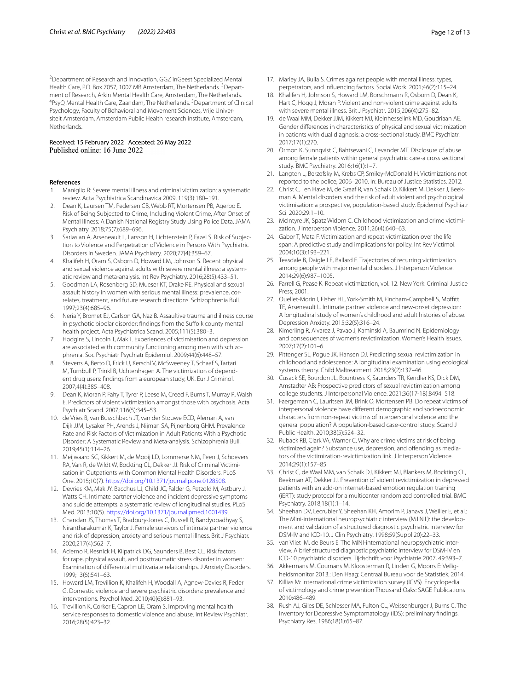<sup>2</sup> Department of Research and Innovation, GGZ inGeest Specialized Mental Health Care, P.O. Box 7057, 1007 MB Amsterdam, The Netherlands. <sup>3</sup> Department of Research, Arkin Mental Health Care, Amsterdam, The Netherlands. 4 PsyQ Mental Health Care, Zaandam, The Netherlands. <sup>5</sup>Department of Clinical Psychology, Faculty of Behavioral and Movement Sciences, Vrije Universiteit Amsterdam, Amsterdam Public Health research institute, Amsterdam, **Netherlands** 

# Received: 15 February 2022 Accepted: 26 May 2022

#### **References**

- <span id="page-11-0"></span>1. Maniglio R: Severe mental illness and criminal victimization: a systematic review. Acta Psychiatrica Scandinavica 2009. 119(3):180–191.
- <span id="page-11-1"></span>2. Dean K, Laursen TM, Pedersen CB, Webb RT, Mortensen PB, Agerbo E. Risk of Being Subjected to Crime, Including Violent Crime, After Onset of Mental Illness: A Danish National Registry Study Using Police Data. JAMA Psychiatry. 2018;75(7):689–696.
- <span id="page-11-2"></span>3. Sariaslan A, Arseneault L, Larsson H, Lichtenstein P, Fazel S. Risk of Subjection to Violence and Perpetration of Violence in Persons With Psychiatric Disorders in Sweden. JAMA Psychiatry. 2020;77(4):359–67.
- <span id="page-11-3"></span>4. Khalifeh H, Oram S, Osborn D, Howard LM, Johnson S. Recent physical and sexual violence against adults with severe mental illness: a systematic review and meta-analysis. Int Rev Psychiatry. 2016;28(5):433–51.
- <span id="page-11-4"></span>5. Goodman LA, Rosenberg SD, Mueser KT, Drake RE. Physical and sexual assault history in women with serious mental illness: prevalence, correlates, treatment, and future research directions. Schizophrenia Bull. 1997;23(4):685–96.
- <span id="page-11-5"></span>6. Neria Y, Bromet EJ, Carlson GA, Naz B. Assaultive trauma and illness course in psychotic bipolar disorder: findings from the Suffolk county mental health project. Acta Psychiatrica Scand. 2005;111(5):380–3.
- <span id="page-11-6"></span>7. Hodgins S, Lincoln T, Mak T. Experiences of victimisation and depression are associated with community functioning among men with schizophrenia. Soc Psychiatr Psychiatr Epidemiol. 2009;44(6):448–57.
- <span id="page-11-7"></span>8. Stevens A, Berto D, Frick U, Kerschl V, McSweeney T, Schaaf S, Tartari M, Turnbull P, Trinkl B, Uchtenhagen A. The victimization of dependent drug users: fndings from a european study, UK. Eur J Criminol. 2007;4(4):385–408.
- <span id="page-11-8"></span>9. Dean K, Moran P, Fahy T, Tyrer P, Leese M, Creed F, Burns T, Murray R, Walsh E. Predictors of violent victimization amongst those with psychosis. Acta Psychiatr Scand. 2007;116(5):345–53.
- <span id="page-11-9"></span>10. de Vries B, van Busschbach JT, van der Stouwe ECD, Aleman A, van Dijk JJM, Lysaker PH, Arends J, Nijman SA, Pijnenborg GHM. Prevalence Rate and Risk Factors of Victimization in Adult Patients With a Psychotic Disorder: A Systematic Review and Meta-analysis. Schizophrenia Bull. 2019;45(1):114–26.
- <span id="page-11-10"></span>11. Meijwaard SC, Kikkert M, de Mooij LD, Lommerse NM, Peen J, Schoevers RA, Van R, de Wildt W, Bockting CL, Dekker JJ. Risk of Criminal Victimisation in Outpatients with Common Mental Health Disorders. PLoS One. 2015;10(7). [https://doi.org/10.1371/journal.pone.0128508.](https://doi.org/10.1371/journal.pone.0128508)
- <span id="page-11-11"></span>12. Devries KM, Mak JY, Bacchus LJ, Child JC, Falder G, Petzold M, Astbury J, Watts CH. Intimate partner violence and incident depressive symptoms and suicide attempts: a systematic review of longitudinal studies. PLoS Med. 2013;10(5). [https://doi.org/10.1371/journal.pmed.1001439.](https://doi.org/10.1371/journal.pmed.1001439)
- <span id="page-11-12"></span>13. Chandan JS, Thomas T, Bradbury-Jones C, Russell R, Bandyopadhyay S, Nirantharakumar K, Taylor J. Female survivors of intimate partner violence and risk of depression, anxiety and serious mental illness. Brit J Psychiatr. 2020;217(4):562–7.
- <span id="page-11-13"></span>14. Acierno R, Resnick H, Kilpatrick DG, Saunders B, Best CL. Risk factors for rape, physical assault, and posttraumatic stress disorder in women: Examination of diferential multivariate relationships. J Anxiety Disorders. 1999;13(6):541–63.
- <span id="page-11-14"></span>15. Howard LM, Trevillion K, Khalifeh H, Woodall A, Agnew-Davies R, Feder G. Domestic violence and severe psychiatric disorders: prevalence and interventions. Psychol Med. 2010;40(6):881–93.
- <span id="page-11-15"></span>16. Trevillion K, Corker E, Capron LE, Oram S. Improving mental health service responses to domestic violence and abuse. Int Review Psychiatr. 2016;28(5):423–32.
- <span id="page-11-16"></span>17. Marley JA, Buila S. Crimes against people with mental illness: types, perpetrators, and infuencing factors. Social Work. 2001;46(2):115–24.
- <span id="page-11-18"></span>18. Khalifeh H, Johnson S, Howard LM, Borschmann R, Osborn D, Dean K, Hart C, Hogg J, Moran P. Violent and non-violent crime against adults with severe mental illness. Brit J Psychiatr. 2015;206(4):275–82.
- <span id="page-11-19"></span>19. de Waal MM, Dekker JJM, Kikkert MJ, Kleinhesselink MD, Goudriaan AE. Gender diferences in characteristics of physical and sexual victimization in patients with dual diagnosis: a cross-sectional study. BMC Psychiatr. 2017;17(1):270.
- <span id="page-11-17"></span>20. Örmon K, Sunnqvist C, Bahtsevani C, Levander MT. Disclosure of abuse among female patients within general psychiatric care-a cross sectional study. BMC Psychiatry. 2016;16(1):1–7.
- <span id="page-11-20"></span>21. Langton L, Berzofsky M, Krebs CP, Smiley-McDonald H. Victimizations not reported to the police, 2006–2010. In: Bureau of Justice Statistics. 2012.
- <span id="page-11-21"></span>22. Christ C, Ten Have M, de Graaf R, van Schaik D, Kikkert M, Dekker J, Beekman A. Mental disorders and the risk of adult violent and psychological victimisation: a prospective, population-based study. Epidemiol Psychiatr Sci. 2020;29:1–10.
- <span id="page-11-22"></span>23. McIntyre JK, Spatz Widom C. Childhood victimization and crime victimization. J Interperson Violence. 2011;26(4):640–63.
- <span id="page-11-23"></span>24. Gabor T, Mata F. Victimization and repeat victimization over the life span: A predictive study and implications for policy. Int Rev Victimol. 2004;10(3):193–221.
- <span id="page-11-24"></span>25. Teasdale B, Daigle LE, Ballard E. Trajectories of recurring victimization among people with major mental disorders. J Interperson Violence. 2014;29(6):987–1005.
- <span id="page-11-25"></span>26. Farrell G, Pease K. Repeat victimization, vol. 12. New York: Criminal Justice Press; 2001.
- <span id="page-11-26"></span>27. Ouellet-Morin I, Fisher HL, York-Smith M, Fincham-Campbell S, Moffitt TE, Arseneault L. Intimate partner violence and new‐onset depression: A longitudinal study of women's childhood and adult histories of abuse. Depression Anxiety. 2015;32(5):316–24.
- <span id="page-11-27"></span>28. Kimerling R, Alvarez J, Pavao J, Kaminski A, Baumrind N. Epidemiology and consequences of women's revictimization. Women's Health Issues. 2007;17(2):101–6.
- <span id="page-11-28"></span>29. Pittenger SL, Pogue JK, Hansen DJ. Predicting sexual revictimization in childhood and adolescence: A longitudinal examination using ecological systems theory. Child Maltreatment. 2018;23(2):137–46.
- <span id="page-11-29"></span>30. Cusack SE, Bourdon JL, Bountress K, Saunders TR, Kendler KS, Dick DM, Amstadter AB: Prospective predictors of sexual revictimization among college students. J Interpersonal Violence. 2021;36(17-18):8494–518.
- <span id="page-11-30"></span>31. Faergemann C, Lauritsen JM, Brink O, Mortensen PB. Do repeat victims of interpersonal violence have diferent demographic and socioeconomic characters from non-repeat victims of interpersonal violence and the general population? A population-based case-control study. Scand J Public Health. 2010;38(5):524–32.
- <span id="page-11-31"></span>32. Ruback RB, Clark VA, Warner C. Why are crime victims at risk of being victimized again? Substance use, depression, and offending as mediators of the victimization-revictimization link. J Interperson Violence. 2014;29(1):157–85.
- <span id="page-11-32"></span>33. Christ C, de Waal MM, van Schaik DJ, Kikkert MJ, Blankers M, Bockting CL, Beekman AT, Dekker JJ. Prevention of violent revictimization in depressed patients with an add-on internet-based emotion regulation training (iERT): study protocol for a multicenter randomized controlled trial. BMC Psychiatry. 2018;18(1):1–14.
- <span id="page-11-33"></span>34. Sheehan DV, Lecrubier Y, Sheehan KH, Amorim P, Janavs J, Weiller E, et al.: The Mini-international neuropsychiatric interview (M.I.N.I.): the development and validation of a structured diagnostic psychiatric interview for DSM-IV and ICD-10. J Clin Psychiatry. 1998;59(Suppl 20):22–33.
- <span id="page-11-34"></span>35. van Vliet IM, de Beurs E: The MINI-international neuropsychiatric interview. A brief structured diagnostic psychiatric interview for DSM-IV en ICD-10 psychiatric disorders. Tijdschrift voor Psychiatrie 2007, 49:393–7.
- <span id="page-11-35"></span>36. Akkermans M, Coumans M, Kloosterman R, Linden G, Moons E: Veiligheidsmonitor 2013.: Den Haag: Centraal Bureau voor de Statistiek; 2014.
- <span id="page-11-36"></span>37. Killias M: International crime victimization survey (ICVS). Encyclopedia of victimology and crime prevention Thousand Oaks: SAGE Publications 2010:486–489.
- <span id="page-11-37"></span>38. Rush AJ, Giles DE, Schlesser MA, Fulton CL, Weissenburger J, Burns C. The Inventory for Depressive Symptomatology (IDS): preliminary fndings. Psychiatry Res. 1986;18(1):65–87.